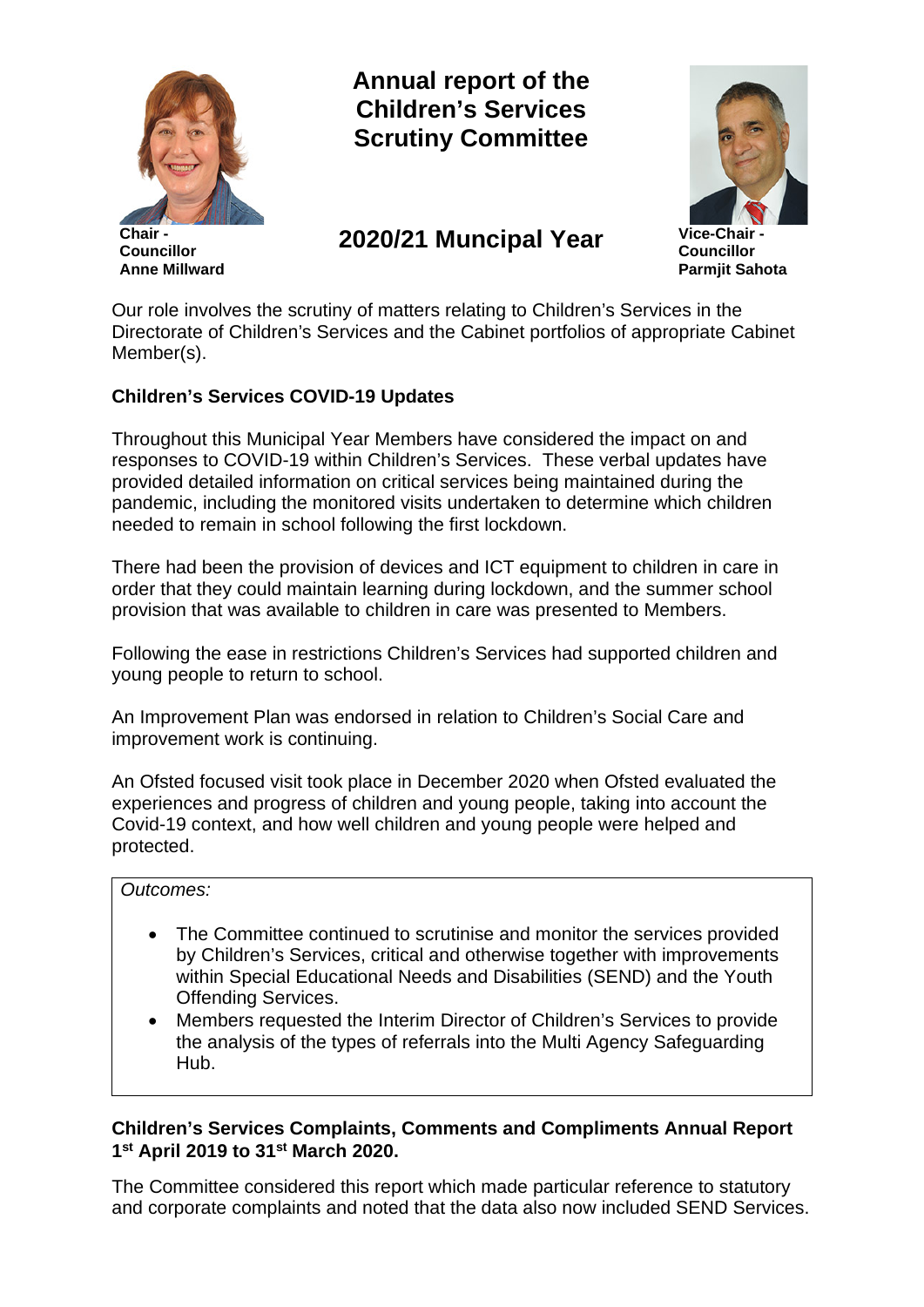

**Chair - Councillor Anne Millward** **Annual report of the Children's Services Scrutiny Committee**

# **2020/21 Muncipal Year Vice-Chair -**



**Councillor Parmjit Sahota**

Our role involves the scrutiny of matters relating to Children's Services in the Directorate of Children's Services and the Cabinet portfolios of appropriate Cabinet Member(s).

# **Children's Services COVID-19 Updates**

Throughout this Municipal Year Members have considered the impact on and responses to COVID-19 within Children's Services. These verbal updates have provided detailed information on critical services being maintained during the pandemic, including the monitored visits undertaken to determine which children needed to remain in school following the first lockdown.

There had been the provision of devices and ICT equipment to children in care in order that they could maintain learning during lockdown, and the summer school provision that was available to children in care was presented to Members.

Following the ease in restrictions Children's Services had supported children and young people to return to school.

An Improvement Plan was endorsed in relation to Children's Social Care and improvement work is continuing.

An Ofsted focused visit took place in December 2020 when Ofsted evaluated the experiences and progress of children and young people, taking into account the Covid-19 context, and how well children and young people were helped and protected.

#### *Outcomes:*

- The Committee continued to scrutinise and monitor the services provided by Children's Services, critical and otherwise together with improvements within Special Educational Needs and Disabilities (SEND) and the Youth Offending Services.
- Members requested the Interim Director of Children's Services to provide the analysis of the types of referrals into the Multi Agency Safeguarding Hub.

# **Children's Services Complaints, Comments and Compliments Annual Report 1st April 2019 to 31st March 2020.**

The Committee considered this report which made particular reference to statutory and corporate complaints and noted that the data also now included SEND Services.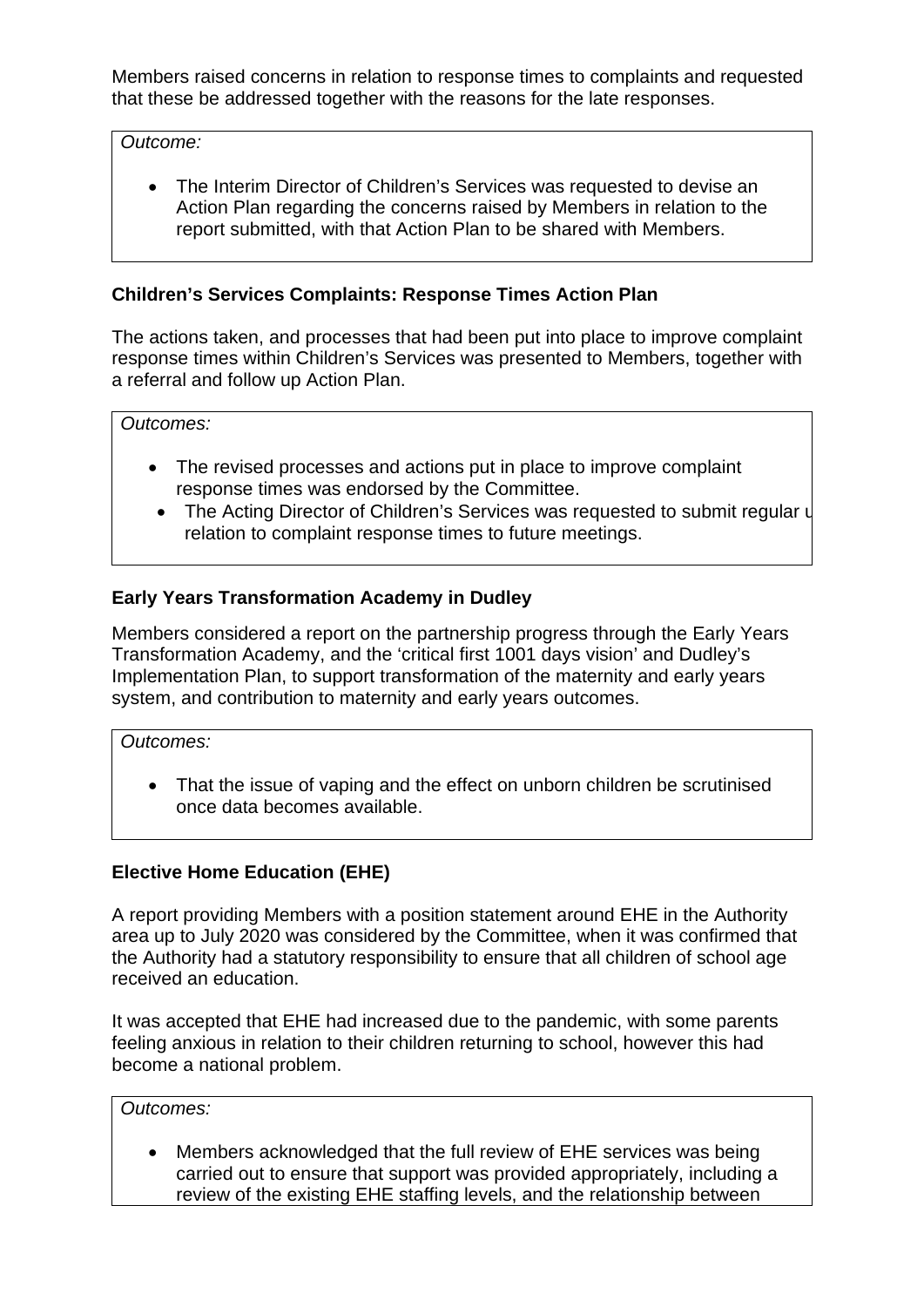Members raised concerns in relation to response times to complaints and requested that these be addressed together with the reasons for the late responses.

*Outcome:*

• The Interim Director of Children's Services was requested to devise an Action Plan regarding the concerns raised by Members in relation to the report submitted, with that Action Plan to be shared with Members.

## **Children's Services Complaints: Response Times Action Plan**

The actions taken, and processes that had been put into place to improve complaint response times within Children's Services was presented to Members, together with a referral and follow up Action Plan.

*Outcomes:*

- The revised processes and actions put in place to improve complaint response times was endorsed by the Committee.
- The Acting Director of Children's Services was requested to submit regular u relation to complaint response times to future meetings.

## **Early Years Transformation Academy in Dudley**

Members considered a report on the partnership progress through the Early Years Transformation Academy, and the 'critical first 1001 days vision' and Dudley's Implementation Plan, to support transformation of the maternity and early years system, and contribution to maternity and early years outcomes.

*Outcomes:*

• That the issue of vaping and the effect on unborn children be scrutinised once data becomes available.

#### **Elective Home Education (EHE)**

A report providing Members with a position statement around EHE in the Authority area up to July 2020 was considered by the Committee, when it was confirmed that the Authority had a statutory responsibility to ensure that all children of school age received an education.

It was accepted that EHE had increased due to the pandemic, with some parents feeling anxious in relation to their children returning to school, however this had become a national problem.

*Outcomes:*

• Members acknowledged that the full review of EHE services was being carried out to ensure that support was provided appropriately, including a review of the existing EHE staffing levels, and the relationship between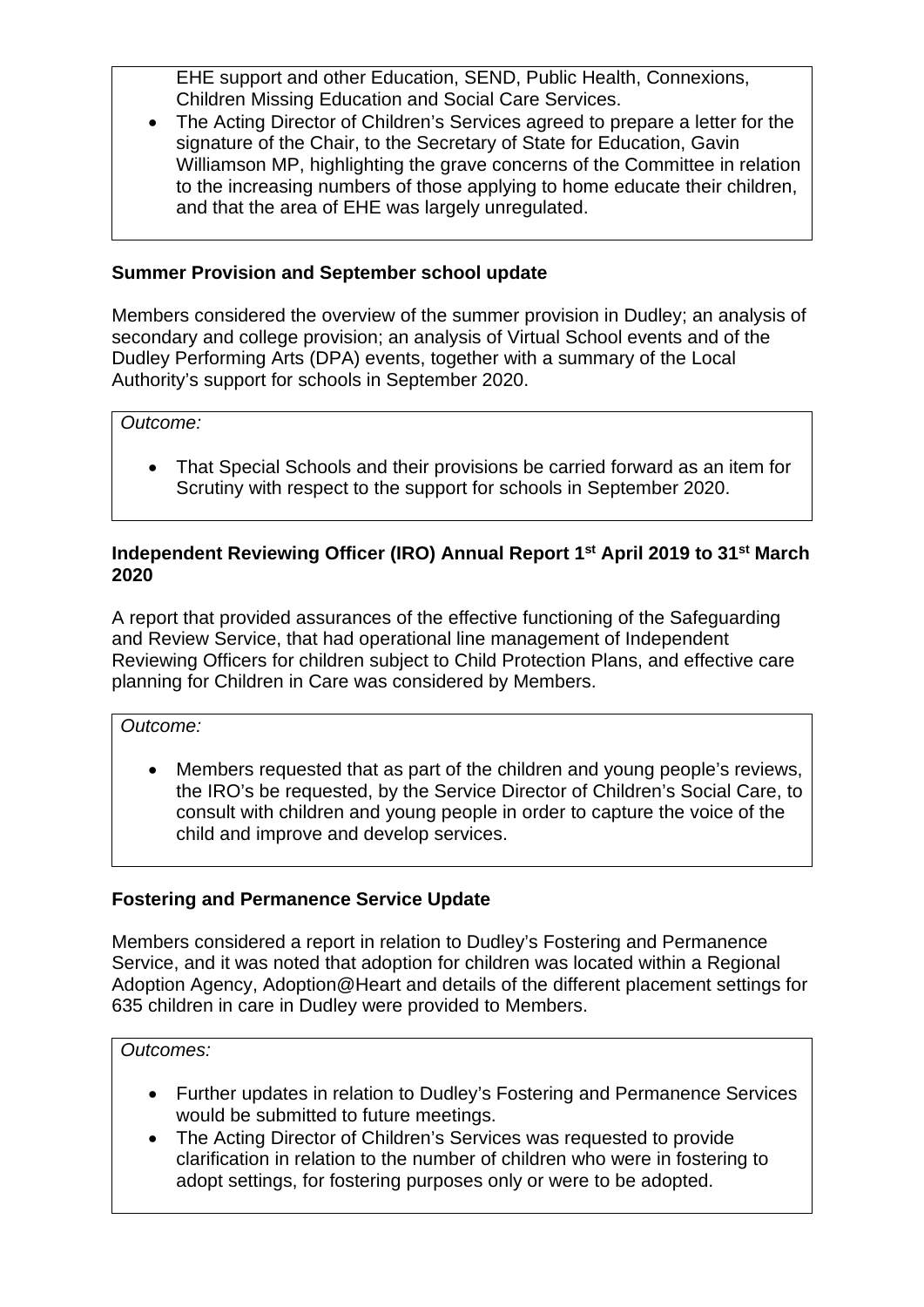EHE support and other Education, SEND, Public Health, Connexions, Children Missing Education and Social Care Services.

• The Acting Director of Children's Services agreed to prepare a letter for the signature of the Chair, to the Secretary of State for Education, Gavin Williamson MP, highlighting the grave concerns of the Committee in relation to the increasing numbers of those applying to home educate their children, and that the area of EHE was largely unregulated.

# **Summer Provision and September school update**

Members considered the overview of the summer provision in Dudley; an analysis of secondary and college provision; an analysis of Virtual School events and of the Dudley Performing Arts (DPA) events, together with a summary of the Local Authority's support for schools in September 2020.

*Outcome:*

• That Special Schools and their provisions be carried forward as an item for Scrutiny with respect to the support for schools in September 2020.

## **Independent Reviewing Officer (IRO) Annual Report 1st April 2019 to 31st March 2020**

A report that provided assurances of the effective functioning of the Safeguarding and Review Service, that had operational line management of Independent Reviewing Officers for children subject to Child Protection Plans, and effective care planning for Children in Care was considered by Members.

*Outcome:*

• Members requested that as part of the children and young people's reviews, the IRO's be requested, by the Service Director of Children's Social Care, to consult with children and young people in order to capture the voice of the child and improve and develop services.

# **Fostering and Permanence Service Update**

Members considered a report in relation to Dudley's Fostering and Permanence Service, and it was noted that adoption for children was located within a Regional Adoption Agency, Adoption@Heart and details of the different placement settings for 635 children in care in Dudley were provided to Members.

#### *Outcomes:*

- Further updates in relation to Dudley's Fostering and Permanence Services would be submitted to future meetings.
- The Acting Director of Children's Services was requested to provide clarification in relation to the number of children who were in fostering to adopt settings, for fostering purposes only or were to be adopted.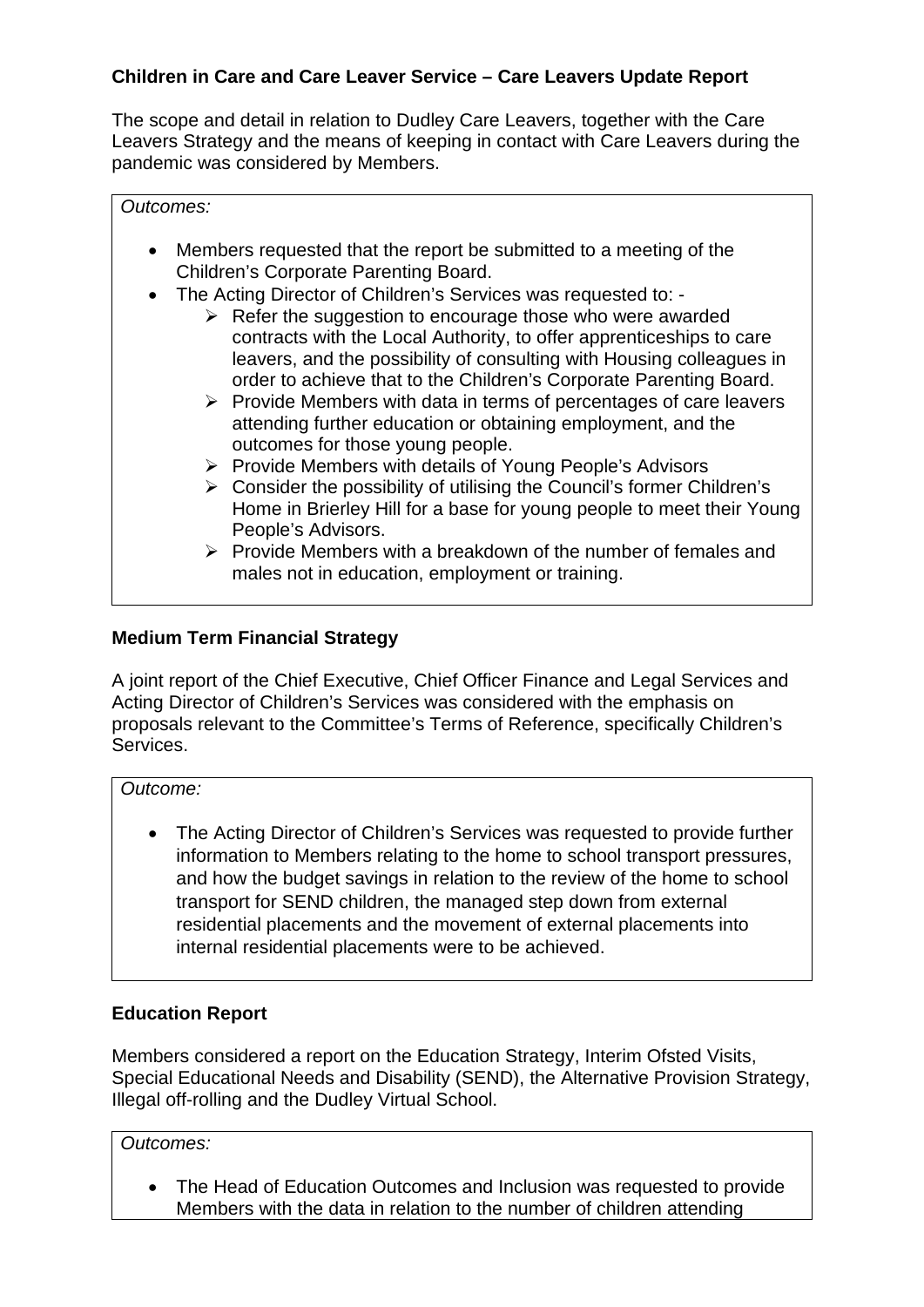# **Children in Care and Care Leaver Service – Care Leavers Update Report**

The scope and detail in relation to Dudley Care Leavers, together with the Care Leavers Strategy and the means of keeping in contact with Care Leavers during the pandemic was considered by Members.

#### *Outcomes:*

- Members requested that the report be submitted to a meeting of the Children's Corporate Parenting Board.
- The Acting Director of Children's Services was requested to:
	- $\triangleright$  Refer the suggestion to encourage those who were awarded contracts with the Local Authority, to offer apprenticeships to care leavers, and the possibility of consulting with Housing colleagues in order to achieve that to the Children's Corporate Parenting Board.
	- $\triangleright$  Provide Members with data in terms of percentages of care leavers attending further education or obtaining employment, and the outcomes for those young people.
	- $\triangleright$  Provide Members with details of Young People's Advisors
	- $\triangleright$  Consider the possibility of utilising the Council's former Children's Home in Brierley Hill for a base for young people to meet their Young People's Advisors.
	- $\triangleright$  Provide Members with a breakdown of the number of females and males not in education, employment or training.

## **Medium Term Financial Strategy**

A joint report of the Chief Executive, Chief Officer Finance and Legal Services and Acting Director of Children's Services was considered with the emphasis on proposals relevant to the Committee's Terms of Reference, specifically Children's Services.

*Outcome:*

• The Acting Director of Children's Services was requested to provide further information to Members relating to the home to school transport pressures, and how the budget savings in relation to the review of the home to school transport for SEND children, the managed step down from external residential placements and the movement of external placements into internal residential placements were to be achieved.

#### **Education Report**

Members considered a report on the Education Strategy, Interim Ofsted Visits, Special Educational Needs and Disability (SEND), the Alternative Provision Strategy, Illegal off-rolling and the Dudley Virtual School.

*Outcomes:*

• The Head of Education Outcomes and Inclusion was requested to provide Members with the data in relation to the number of children attending